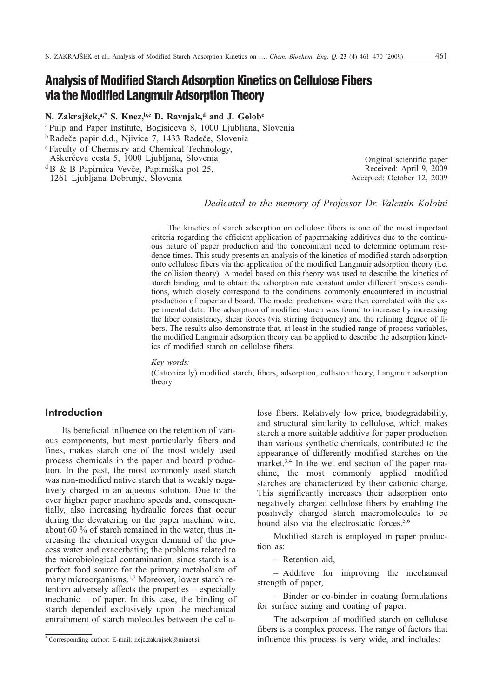# **Analysis of Modified Starch Adsorption Kinetics on Cellulose Fibers via the Modified Langmuir Adsorption Theory**

**N. Zakrajšek,a,\* S. Knez,b,c D. Ravnjak,d and J. Golobc**

<sup>a Pulp</sup> and Paper Institute, Bogisiceva 8, 1000 Ljubljana, Slovenia

<sup>b</sup>Radeče papir d.d., Njivice 7, 1433 Radeče, Slovenia

<sup>c</sup> Faculty of Chemistry and Chemical Technology,

Aškerèeva cesta 5, 1000 Ljubljana, Slovenia

 ${}^{\text{d}}$ B & B Papirnica Vevče, Papirniška pot 25,

1261 Ljubljana Dobrunje, Slovenia

Received: April 9, 2009 Accepted: October 12, 2009

Original scientific paper

# *Dedicated to the memory of Professor Dr. Valentin Koloini*

The kinetics of starch adsorption on cellulose fibers is one of the most important criteria regarding the efficient application of papermaking additives due to the continuous nature of paper production and the concomitant need to determine optimum residence times. This study presents an analysis of the kinetics of modified starch adsorption onto cellulose fibers via the application of the modified Langmuir adsorption theory (i.e. the collision theory). A model based on this theory was used to describe the kinetics of starch binding, and to obtain the adsorption rate constant under different process conditions, which closely correspond to the conditions commonly encountered in industrial production of paper and board. The model predictions were then correlated with the experimental data. The adsorption of modified starch was found to increase by increasing the fiber consistency, shear forces (via stirring frequency) and the refining degree of fibers. The results also demonstrate that, at least in the studied range of process variables, the modified Langmuir adsorption theory can be applied to describe the adsorption kinetics of modified starch on cellulose fibers.

*Key words:*

(Cationically) modified starch, fibers, adsorption, collision theory, Langmuir adsorption theory

# **Introduction**

Its beneficial influence on the retention of various components, but most particularly fibers and fines, makes starch one of the most widely used process chemicals in the paper and board production. In the past, the most commonly used starch was non-modified native starch that is weakly negatively charged in an aqueous solution. Due to the ever higher paper machine speeds and, consequentially, also increasing hydraulic forces that occur during the dewatering on the paper machine wire, about 60 % of starch remained in the water, thus increasing the chemical oxygen demand of the process water and exacerbating the problems related to the microbiological contamination, since starch is a perfect food source for the primary metabolism of many microorganisms.1,2 Moreover, lower starch retention adversely affects the properties – especially mechanic – of paper. In this case, the binding of starch depended exclusively upon the mechanical entrainment of starch molecules between the cellulose fibers. Relatively low price, biodegradability, and structural similarity to cellulose, which makes starch a more suitable additive for paper production than various synthetic chemicals, contributed to the appearance of differently modified starches on the market.<sup>3,4</sup> In the wet end section of the paper machine, the most commonly applied modified starches are characterized by their cationic charge. This significantly increases their adsorption onto negatively charged cellulose fibers by enabling the positively charged starch macromolecules to be bound also via the electrostatic forces.<sup>5,6</sup>

Modified starch is employed in paper production as:

– Retention aid,

– Additive for improving the mechanical strength of paper,

– Binder or co-binder in coating formulations for surface sizing and coating of paper.

The adsorption of modified starch on cellulose fibers is a complex process. The range of factors that influence this process is very wide, and includes:

<sup>\*</sup> Corresponding author: E-mail: nejc.zakrajsek@minet.si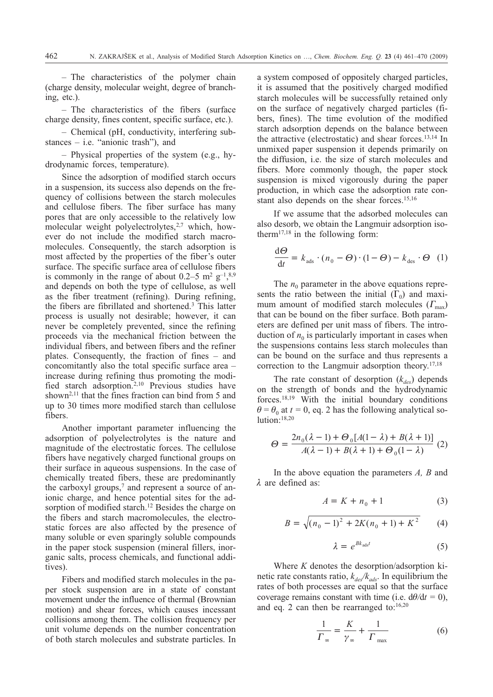– The characteristics of the polymer chain (charge density, molecular weight, degree of branching, etc.).

– The characteristics of the fibers (surface charge density, fines content, specific surface, etc.).

– Chemical (pH, conductivity, interfering substances  $-$  i.e. "anionic trash"), and

– Physical properties of the system (e.g., hydrodynamic forces, temperature).

Since the adsorption of modified starch occurs in a suspension, its success also depends on the frequency of collisions between the starch molecules and cellulose fibers. The fiber surface has many pores that are only accessible to the relatively low molecular weight polyelectrolytes, $2,7$  which, however do not include the modified starch macromolecules. Consequently, the starch adsorption is most affected by the properties of the fiber's outer surface. The specific surface area of cellulose fibers is commonly in the range of about 0.2–5 m<sup>2</sup>  $\text{g}^{-1}$ ,<sup>8,9</sup> and depends on both the type of cellulose, as well as the fiber treatment (refining). During refining, the fibers are fibrillated and shortened.3 This latter process is usually not desirable; however, it can never be completely prevented, since the refining proceeds via the mechanical friction between the individual fibers, and between fibers and the refiner plates. Consequently, the fraction of fines – and concomitantly also the total specific surface area – increase during refining thus promoting the modified starch adsorption.2,10 Previous studies have shown<sup>2,11</sup> that the fines fraction can bind from 5 and up to 30 times more modified starch than cellulose fibers.

Another important parameter influencing the adsorption of polyelectrolytes is the nature and magnitude of the electrostatic forces. The cellulose fibers have negatively charged functional groups on their surface in aqueous suspensions. In the case of chemically treated fibers, these are predominantly the carboxyl groups,<sup>7</sup> and represent a source of anionic charge, and hence potential sites for the adsorption of modified starch.<sup>12</sup> Besides the charge on the fibers and starch macromolecules, the electrostatic forces are also affected by the presence of many soluble or even sparingly soluble compounds in the paper stock suspension (mineral fillers, inorganic salts, process chemicals, and functional additives).

Fibers and modified starch molecules in the paper stock suspension are in a state of constant movement under the influence of thermal (Brownian motion) and shear forces, which causes incessant collisions among them. The collision frequency per unit volume depends on the number concentration of both starch molecules and substrate particles. In a system composed of oppositely charged particles, it is assumed that the positively charged modified starch molecules will be successfully retained only on the surface of negatively charged particles (fibers, fines). The time evolution of the modified starch adsorption depends on the balance between the attractive (electrostatic) and shear forces.13,14 In unmixed paper suspension it depends primarily on the diffusion, i.e. the size of starch molecules and fibers. More commonly though, the paper stock suspension is mixed vigorously during the paper production, in which case the adsorption rate constant also depends on the shear forces.<sup>15,16</sup>

If we assume that the adsorbed molecules can also desorb, we obtain the Langmuir adsorption isotherm<sup>17,18</sup> in the following form:

$$
\frac{\mathrm{d}\Theta}{\mathrm{d}t} = k_{\text{ads}} \cdot (n_0 - \Theta) \cdot (1 - \Theta) - k_{\text{des}} \cdot \Theta \quad (1)
$$

The  $n_0$  parameter in the above equations represents the ratio between the initial  $(\Gamma_0)$  and maximum amount of modified starch molecules  $(\Gamma_{\text{max}})$ that can be bound on the fiber surface. Both parameters are defined per unit mass of fibers. The introduction of  $n_0$  is particularly important in cases when the suspensions contains less starch molecules than can be bound on the surface and thus represents a correction to the Langmuir adsorption theory.<sup>17,18</sup>

The rate constant of desorption  $(k_{des})$  depends on the strength of bonds and the hydrodynamic forces.18,19 With the initial boundary conditions  $\theta = \theta_0$  at  $t = 0$ , eq. 2 has the following analytical solution:<sup>18,20</sup>

$$
\Theta = \frac{2n_0(\lambda - 1) + \Theta_0[A(1 - \lambda) + B(\lambda + 1)]}{A(\lambda - 1) + B(\lambda + 1) + \Theta_0(1 - \lambda)}
$$
(2)

In the above equation the parameters *A, B* and  $\lambda$  are defined as:

$$
A = K + n_0 + 1 \tag{3}
$$

$$
B = \sqrt{(n_0 - 1)^2 + 2K(n_0 + 1) + K^2}
$$
 (4)

$$
\lambda = e^{Bk_{\text{ads}}t} \tag{5}
$$

Where *K* denotes the desorption/adsorption kinetic rate constants ratio,  $k_{\text{des}}/k_{\text{ads}}$ . In equilibrium the rates of both processes are equal so that the surface coverage remains constant with time (i.e.  $d\theta/dt = 0$ ), and eq. 2 can then be rearranged to: $16,20$ 

$$
\frac{1}{\Gamma_{\infty}} = \frac{K}{\gamma_{\infty}} + \frac{1}{\Gamma_{\max}} \tag{6}
$$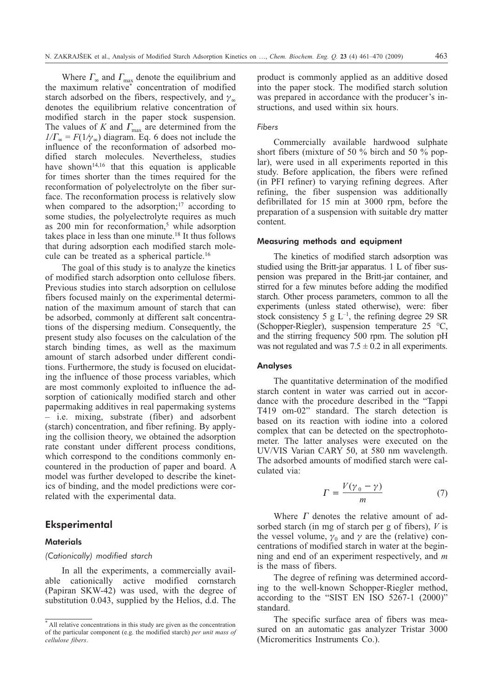Where  $\Gamma_{\infty}$  and  $\Gamma_{\max}$  denote the equilibrium and the maximum relative\* concentration of modified starch adsorbed on the fibers, respectively, and  $\gamma_{\infty}$ denotes the equilibrium relative concentration of modified starch in the paper stock suspension. The values of *K* and  $\Gamma_{\text{max}}$  are determined from the  $1/\Gamma_{\infty} = F(1/\gamma_{\infty})$  diagram. Eq. 6 does not include the influence of the reconformation of adsorbed modified starch molecules. Nevertheless, studies have shown<sup>14,16</sup> that this equation is applicable for times shorter than the times required for the reconformation of polyelectrolyte on the fiber surface. The reconformation process is relatively slow when compared to the adsorption; $17$  according to some studies, the polyelectrolyte requires as much as 200 min for reconformation,<sup>5</sup> while adsorption takes place in less than one minute.<sup>18</sup> It thus follows that during adsorption each modified starch molecule can be treated as a spherical particle.16

The goal of this study is to analyze the kinetics of modified starch adsorption onto cellulose fibers. Previous studies into starch adsorption on cellulose fibers focused mainly on the experimental determination of the maximum amount of starch that can be adsorbed, commonly at different salt concentrations of the dispersing medium. Consequently, the present study also focuses on the calculation of the starch binding times, as well as the maximum amount of starch adsorbed under different conditions. Furthermore, the study is focused on elucidating the influence of those process variables, which are most commonly exploited to influence the adsorption of cationically modified starch and other papermaking additives in real papermaking systems – i.e. mixing, substrate (fiber) and adsorbent (starch) concentration, and fiber refining. By applying the collision theory, we obtained the adsorption rate constant under different process conditions, which correspond to the conditions commonly encountered in the production of paper and board. A model was further developed to describe the kinetics of binding, and the model predictions were correlated with the experimental data.

## **Eksperimental**

#### **Materials**

## *(Cationically) modified starch*

In all the experiments, a commercially available cationically active modified cornstarch (Papiran SKW-42) was used, with the degree of substitution 0.043, supplied by the Helios, d.d. The product is commonly applied as an additive dosed into the paper stock. The modified starch solution was prepared in accordance with the producer's instructions, and used within six hours.

#### *Fibers*

Commercially available hardwood sulphate short fibers (mixture of 50 % birch and 50 % poplar), were used in all experiments reported in this study. Before application, the fibers were refined (in PFI refiner) to varying refining degrees. After refining, the fiber suspension was additionally defibrillated for 15 min at 3000 rpm, before the preparation of a suspension with suitable dry matter content.

#### Measuring methods and equipment

The kinetics of modified starch adsorption was studied using the Britt-jar apparatus. 1 L of fiber suspension was prepared in the Britt-jar container, and stirred for a few minutes before adding the modified starch. Other process parameters, common to all the experiments (unless stated otherwise), were: fiber stock consistency 5 g  $L^{-1}$ , the refining degree 29 SR (Schopper-Riegler), suspension temperature 25 °C, and the stirring frequency 500 rpm. The solution pH was not regulated and was  $7.5 \pm 0.2$  in all experiments.

## Analyses

The quantitative determination of the modified starch content in water was carried out in accordance with the procedure described in the "Tappi T419 om-02" standard. The starch detection is based on its reaction with iodine into a colored complex that can be detected on the spectrophotometer. The latter analyses were executed on the UV/VIS Varian CARY 50, at 580 nm wavelength. The adsorbed amounts of modified starch were calculated via:

$$
\Gamma = \frac{V(\gamma_0 - \gamma)}{m} \tag{7}
$$

Where  $\Gamma$  denotes the relative amount of adsorbed starch (in mg of starch per g of fibers), *V* is the vessel volume,  $\gamma_0$  and  $\gamma$  are the (relative) concentrations of modified starch in water at the beginning and end of an experiment respectively, and *m* is the mass of fibers.

The degree of refining was determined according to the well-known Schopper-Riegler method, according to the "SIST EN ISO 5267-1 (2000)" standard.

The specific surface area of fibers was measured on an automatic gas analyzer Tristar 3000 (Micromeritics Instruments Co.).

<sup>\*</sup> All relative concentrations in this study are given as the concentration of the particular component (e.g. the modified starch) *per unit mass of cellulose fibers*.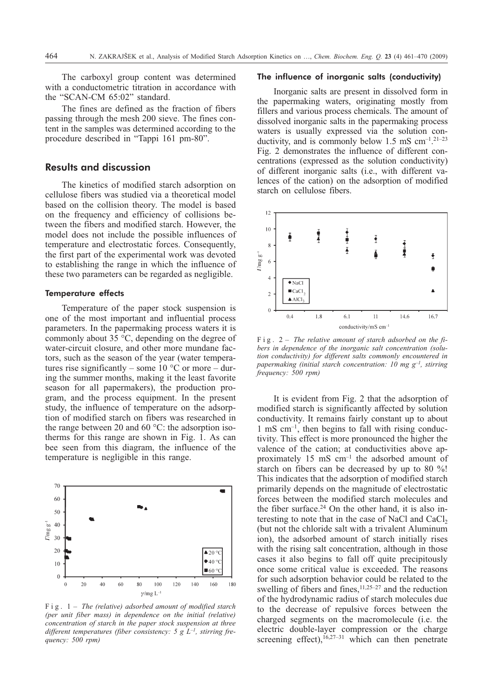The carboxyl group content was determined with a conductometric titration in accordance with the "SCAN-CM 65:02" standard.

The fines are defined as the fraction of fibers passing through the mesh 200 sieve. The fines content in the samples was determined according to the procedure described in "Tappi 161 pm-80".

## **Results and discussion**

The kinetics of modified starch adsorption on cellulose fibers was studied via a theoretical model based on the collision theory. The model is based on the frequency and efficiency of collisions between the fibers and modified starch. However, the model does not include the possible influences of temperature and electrostatic forces. Consequently, the first part of the experimental work was devoted to establishing the range in which the influence of these two parameters can be regarded as negligible.

## Temperature effects

Temperature of the paper stock suspension is one of the most important and influential process parameters. In the papermaking process waters it is commonly about 35 °C, depending on the degree of water-circuit closure, and other more mundane factors, such as the season of the year (water temperatures rise significantly – some  $10^{\circ}$ C or more – during the summer months, making it the least favorite season for all papermakers), the production program, and the process equipment. In the present study, the influence of temperature on the adsorption of modified starch on fibers was researched in the range between 20 and 60 °C: the adsorption isotherms for this range are shown in Fig. 1. As can bee seen from this diagram, the influence of the temperature is negligible in this range.



Fig. 1 – *The (relative) adsorbed amount of modified starch (per unit fiber mass) in dependence on the initial (relative) concentration of starch in the paper stock suspension at three* different temperatures (fiber consistency: 5 g  $L^{-1}$ , stirring fre*quency: 500 rpm)*

## The influence of inorganic salts (conductivity)

Inorganic salts are present in dissolved form in the papermaking waters, originating mostly from fillers and various process chemicals. The amount of dissolved inorganic salts in the papermaking process waters is usually expressed via the solution conductivity, and is commonly below  $1.5 \text{ ms cm}^{-1}$ .  $21-23$ Fig. 2 demonstrates the influence of different concentrations (expressed as the solution conductivity) of different inorganic salts (i.e., with different valences of the cation) on the adsorption of modified starch on cellulose fibers.



Fig. 2 – *The relative amount of starch adsorbed on the fibers in dependence of the inorganic salt concentration (solution conductivity) for different salts commonly encountered in papermaking (initial starch concentration: 10 mg g–1, stirring frequency: 500 rpm)*

It is evident from Fig. 2 that the adsorption of modified starch is significantly affected by solution conductivity. It remains fairly constant up to about 1 mS cm–1, then begins to fall with rising conductivity. This effect is more pronounced the higher the valence of the cation; at conductivities above approximately 15 mS cm–1 the adsorbed amount of starch on fibers can be decreased by up to 80 %! This indicates that the adsorption of modified starch primarily depends on the magnitude of electrostatic forces between the modified starch molecules and the fiber surface.<sup>24</sup> On the other hand, it is also interesting to note that in the case of NaCl and CaCl, (but not the chloride salt with a trivalent Aluminum ion), the adsorbed amount of starch initially rises with the rising salt concentration, although in those cases it also begins to fall off quite precipitously once some critical value is exceeded. The reasons for such adsorption behavior could be related to the swelling of fibers and fines, $11,25-27$  and the reduction of the hydrodynamic radius of starch molecules due to the decrease of repulsive forces between the charged segments on the macromolecule (i.e. the electric double-layer compression or the charge screening effect), $16,27-31$  which can then penetrate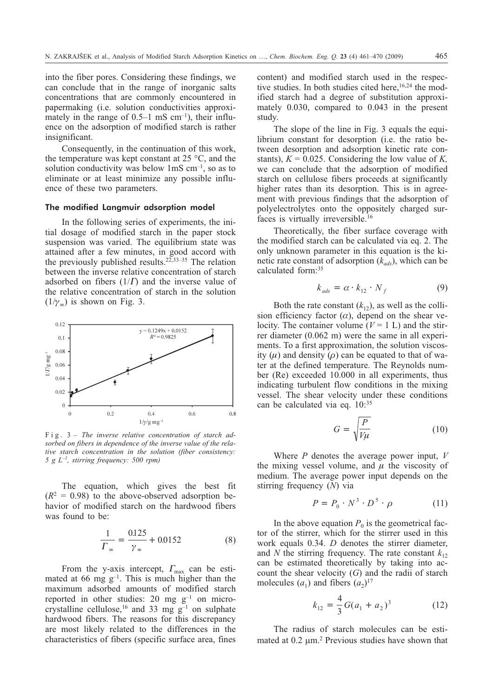into the fiber pores. Considering these findings, we can conclude that in the range of inorganic salts concentrations that are commonly encountered in papermaking (i.e. solution conductivities approximately in the range of  $0.5-1$  mS cm<sup>-1</sup>), their influence on the adsorption of modified starch is rather insignificant.

Consequently, in the continuation of this work, the temperature was kept constant at 25 °C, and the solution conductivity was below 1mS cm–1, so as to eliminate or at least minimize any possible influence of these two parameters.

#### The modified Langmuir adsorption model

In the following series of experiments, the initial dosage of modified starch in the paper stock suspension was varied. The equilibrium state was attained after a few minutes, in good accord with the previously published results.<sup>22,33–35</sup> The relation between the inverse relative concentration of starch adsorbed on fibers  $(1/\Gamma)$  and the inverse value of the relative concentration of starch in the solution  $(1/\gamma_{\infty})$  is shown on Fig. 3.



Fig. 3 – *The inverse relative concentration of starch adsorbed on fibers in dependence of the inverse value of the relative starch concentration in the solution (fiber consistency: 5gL–1, stirring frequency: 500 rpm)*

The equation, which gives the best fit  $(R^2 = 0.98)$  to the above-observed adsorption behavior of modified starch on the hardwood fibers was found to be:

$$
\frac{1}{\Gamma_{\infty}} = \frac{0.125}{\gamma_{\infty}} + 0.0152
$$
 (8)

From the y-axis intercept,  $\Gamma_{\text{max}}$  can be estimated at 66 mg  $g^{-1}$ . This is much higher than the maximum adsorbed amounts of modified starch reported in other studies: 20 mg  $g^{-1}$  on microcrystalline cellulose,<sup>16</sup> and 33 mg  $g^{-1}$  on sulphate hardwood fibers. The reasons for this discrepancy are most likely related to the differences in the characteristics of fibers (specific surface area, fines content) and modified starch used in the respective studies. In both studies cited here,  $16,24$  the modified starch had a degree of substitution approximately 0.030, compared to 0.043 in the present study.

The slope of the line in Fig. 3 equals the equilibrium constant for desorption (i.e. the ratio between desorption and adsorption kinetic rate constants),  $K = 0.025$ . Considering the low value of K, we can conclude that the adsorption of modified starch on cellulose fibers proceeds at significantly higher rates than its desorption. This is in agreement with previous findings that the adsorption of polyelectrolytes onto the oppositely charged surfaces is virtually irreversible.16

Theoretically, the fiber surface coverage with the modified starch can be calculated via eq. 2. The only unknown parameter in this equation is the kinetic rate constant of adsorption  $(k_{ads})$ , which can be calculated form:<sup>35</sup>

$$
k_{ads} = \alpha \cdot k_{12} \cdot N_f \tag{9}
$$

Both the rate constant  $(k_1)$ , as well as the collision efficiency factor  $(\alpha)$ , depend on the shear velocity. The container volume  $(V = 1 L)$  and the stirrer diameter (0.062 m) were the same in all experiments. To a first approximation, the solution viscosity  $(\mu)$  and density  $(\rho)$  can be equated to that of water at the defined temperature. The Reynolds number (Re) exceeded 10.000 in all experiments, thus indicating turbulent flow conditions in the mixing vessel. The shear velocity under these conditions can be calculated via eq. 10:35

$$
G = \sqrt{\frac{P}{V\mu}}\tag{10}
$$

Where *P* denotes the average power input, *V* the mixing vessel volume, and  $\mu$  the viscosity of medium. The average power input depends on the stirring frequency (*N*) via

$$
P = P_0 \cdot N^3 \cdot D^5 \cdot \rho \tag{11}
$$

In the above equation  $P_0$  is the geometrical factor of the stirrer, which for the stirrer used in this work equals 0.34. *D* denotes the stirrer diameter, and *N* the stirring frequency. The rate constant  $k_{12}$ can be estimated theoretically by taking into account the shear velocity (*G*) and the radii of starch molecules  $(a_1)$  and fibers  $(a_2)^{17}$ 

$$
k_{12} = \frac{4}{3}G(a_1 + a_2)^3 \tag{12}
$$

The radius of starch molecules can be estimated at 0.2 um.<sup>2</sup> Previous studies have shown that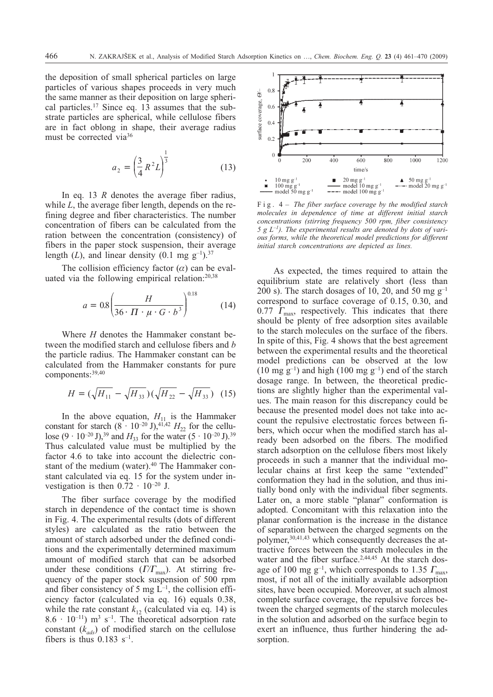the deposition of small spherical particles on large particles of various shapes proceeds in very much the same manner as their deposition on large spherical particles.17 Since eq. 13 assumes that the substrate particles are spherical, while cellulose fibers are in fact oblong in shape, their average radius must be corrected via<sup>36</sup>

$$
a_2 = \left(\frac{3}{4}R^2L\right)^{\frac{1}{3}}\tag{13}
$$

In eq. 13 *R* denotes the average fiber radius, while *L*, the average fiber length, depends on the refining degree and fiber characteristics. The number concentration of fibers can be calculated from the ration between the concentration (consistency) of fibers in the paper stock suspension, their average length  $(L)$ , and linear density  $(0.1 \text{ mg g}^{-1})^{37}$ 

The collision efficiency factor  $(\alpha)$  can be evaluated via the following empirical relation:20,38

$$
a = 0.8 \left( \frac{H}{36 \cdot \Pi \cdot \mu \cdot G \cdot b^3} \right)^{0.18} \tag{14}
$$

Where *H* denotes the Hammaker constant between the modified starch and cellulose fibers and *b* the particle radius. The Hammaker constant can be calculated from the Hammaker constants for pure components:39,40

$$
H = (\sqrt{H_{11}} - \sqrt{H_{33}})(\sqrt{H_{22}} - \sqrt{H_{33}})
$$
 (15)

In the above equation,  $H_{11}$  is the Hammaker constant for starch  $(8 \cdot 10^{-20} \text{ J})^{41,42}$  *H*<sub>22</sub> for the cellulose  $(9 \cdot 10^{-20} \text{ J})$ ,<sup>39</sup> and  $H_{33}$  for the water  $(5 \cdot 10^{-20} \text{ J})$ .<sup>39</sup> Thus calculated value must be multiplied by the factor 4.6 to take into account the dielectric constant of the medium (water).<sup>40</sup> The Hammaker constant calculated via eq. 15 for the system under investigation is then  $0.\overline{7}2 \cdot 10^{-20}$  J.

The fiber surface coverage by the modified starch in dependence of the contact time is shown in Fig. 4. The experimental results (dots of different styles) are calculated as the ratio between the amount of starch adsorbed under the defined conditions and the experimentally determined maximum amount of modified starch that can be adsorbed under these conditions ( $I/T_{\text{max}}$ ). At stirring frequency of the paper stock suspension of 500 rpm and fiber consistency of 5 mg  $\dot{L}^{-1}$ , the collision efficiency factor (calculated via eq. 16) equals 0.38, while the rate constant  $k_{12}$  (calculated via eq. 14) is  $8.6 \cdot 10^{-11}$ ) m<sup>3</sup> s<sup>-1</sup>. The theoretical adsorption rate constant  $(k_{ads})$  of modified starch on the cellulose fibers is thus  $0.183$  s<sup>-1</sup>.



Fig. 4 – *The fiber surface coverage by the modified starch molecules in dependence of time at different initial starch concentrations (stirring frequency 500 rpm, fiber consistency 5gL–1). The experimental results are denoted by dots of various forms, while the theoretical model predictions for different initial starch concentrations are depicted as lines.*

As expected, the times required to attain the equilibrium state are relatively short (less than 200 s). The starch dosages of 10, 20, and 50 mg  $g^{-1}$ correspond to surface coverage of 0.15, 0.30, and 0.77  $\Gamma_{\text{max}}$ , respectively. This indicates that there should be plenty of free adsorption sites available to the starch molecules on the surface of the fibers. In spite of this, Fig. 4 shows that the best agreement between the experimental results and the theoretical model predictions can be observed at the low  $(10 \text{ mg g}^{-1})$  and high  $(100 \text{ mg g}^{-1})$  end of the starch dosage range. In between, the theoretical predictions are slightly higher than the experimental values. The main reason for this discrepancy could be because the presented model does not take into account the repulsive electrostatic forces between fibers, which occur when the modified starch has already been adsorbed on the fibers. The modified starch adsorption on the cellulose fibers most likely proceeds in such a manner that the individual molecular chains at first keep the same "extended" conformation they had in the solution, and thus initially bond only with the individual fiber segments. Later on, a more stable "planar" conformation is adopted. Concomitant with this relaxation into the planar conformation is the increase in the distance of separation between the charged segments on the polymer,30,41,43 which consequently decreases the attractive forces between the starch molecules in the water and the fiber surface.<sup>2,44,45</sup> At the starch dosage of 100 mg  $g^{-1}$ , which corresponds to 1.35  $\Gamma_{\text{max}}$ , most, if not all of the initially available adsorption sites, have been occupied. Moreover, at such almost complete surface coverage, the repulsive forces between the charged segments of the starch molecules in the solution and adsorbed on the surface begin to exert an influence, thus further hindering the adsorption.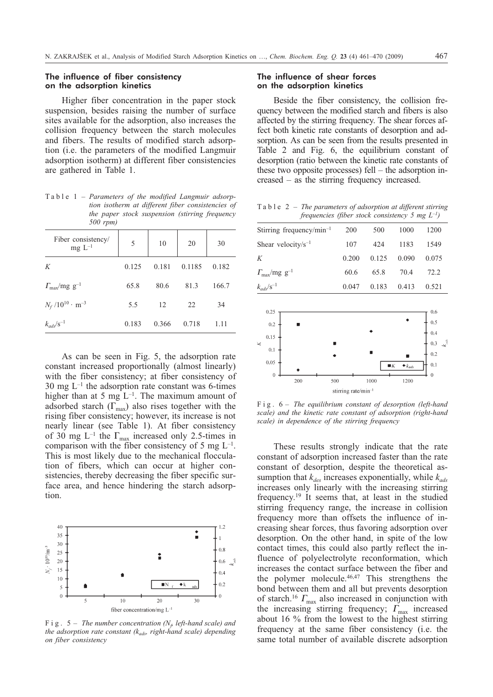## The influence of fiber consistency on the adsorption kinetics

Higher fiber concentration in the paper stock suspension, besides raising the number of surface sites available for the adsorption, also increases the collision frequency between the starch molecules and fibers. The results of modified starch adsorption (i.e. the parameters of the modified Langmuir adsorption isotherm) at different fiber consistencies are gathered in Table 1.

Table 1 – *Parameters of the modified Langmuir adsorption isotherm at different fiber consistencies of the paper stock suspension (stirring frequency 500 rpm)*

| Fiber consistency/<br>$mg L^{-1}$      | 5     | 10    | 20     | 30    |
|----------------------------------------|-------|-------|--------|-------|
| K                                      | 0.125 | 0.181 | 0.1185 | 0.182 |
| $\Gamma_{\text{max}}/\text{mg g}^{-1}$ | 65.8  | 80.6  | 81.3   | 166.7 |
| $N_f / 10^{10} \cdot m^{-3}$           | 5.5   | 12    | 22     | 34    |
| $k_{ads}/s^{-1}$                       | 0.183 | 0.366 | 0.718  | 1.11  |

As can be seen in Fig. 5, the adsorption rate constant increased proportionally (almost linearly) with the fiber consistency; at fiber consistency of  $30 \text{ mg } L^{-1}$  the adsorption rate constant was 6-times higher than at 5 mg  $L^{-1}$ . The maximum amount of adsorbed starch  $(\Gamma_{\text{max}})$  also rises together with the rising fiber consistency; however, its increase is not nearly linear (see Table 1). At fiber consistency of 30 mg L<sup>-1</sup> the  $\Gamma_{\text{max}}$  increased only 2.5-times in comparison with the fiber consistency of 5 mg  $L^{-1}$ . This is most likely due to the mechanical flocculation of fibers, which can occur at higher consistencies, thereby decreasing the fiber specific surface area, and hence hindering the starch adsorption.



 $F$ **i**  $g$ . 5 – *The number concentration* ( $N<sub>f</sub>$  *left-hand scale)* and *the adsorption rate constant*  $(k_{ads},$  right-hand scale) depending *on fiber consistency*

## The influence of shear forces on the adsorption kinetics

Beside the fiber consistency, the collision frequency between the modified starch and fibers is also affected by the stirring frequency. The shear forces affect both kinetic rate constants of desorption and adsorption. As can be seen from the results presented in Table 2 and Fig. 6, the equilibrium constant of desorption (ratio between the kinetic rate constants of these two opposite processes) fell – the adsorption increased – as the stirring frequency increased.

Table 2 – *The parameters of adsorption at different stirring frequencies (fiber stock consistency 5 mg L–1)*

| Stirring frequency/min <sup>-1</sup> | 200   | 500   | 1000  | 1200     |  |
|--------------------------------------|-------|-------|-------|----------|--|
| Shear velocity/ $s^{-1}$             | 107   | 424   | 1183  | 1549     |  |
| Κ                                    | 0.200 | 0.125 | 0.090 | 0.075    |  |
| $\varGamma_{\rm max}/\rm mg~g^{-1}$  | 60.6  | 65.8  | 70.4  | 72.2     |  |
| $k_{ads}/s^{-1}$                     | 0.047 | 0.183 | 0.413 | 0.521    |  |
|                                      |       |       |       |          |  |
| 0.25<br>$0.2$ ]                      |       |       |       | $_{0.6}$ |  |
|                                      |       |       |       |          |  |



Fig. 6 – *The equilibrium constant of desorption (left-hand scale) and the kinetic rate constant of adsorption (right-hand scale) in dependence of the stirring frequency*

These results strongly indicate that the rate constant of adsorption increased faster than the rate constant of desorption, despite the theoretical assumption that  $k_{des}$  increases exponentially, while  $k_{ads}$ increases only linearly with the increasing stirring frequency.19 It seems that, at least in the studied stirring frequency range, the increase in collision frequency more than offsets the influence of increasing shear forces, thus favoring adsorption over desorption. On the other hand, in spite of the low contact times, this could also partly reflect the influence of polyelectrolyte reconformation, which increases the contact surface between the fiber and the polymer molecule. $46,47$  This strengthens the bond between them and all but prevents desorption of starch.<sup>16</sup>  $\Gamma_{\text{max}}$  also increased in conjunction with the increasing stirring frequency;  $\Gamma_{\text{max}}$  increased about 16 % from the lowest to the highest stirring frequency at the same fiber consistency (i.e. the same total number of available discrete adsorption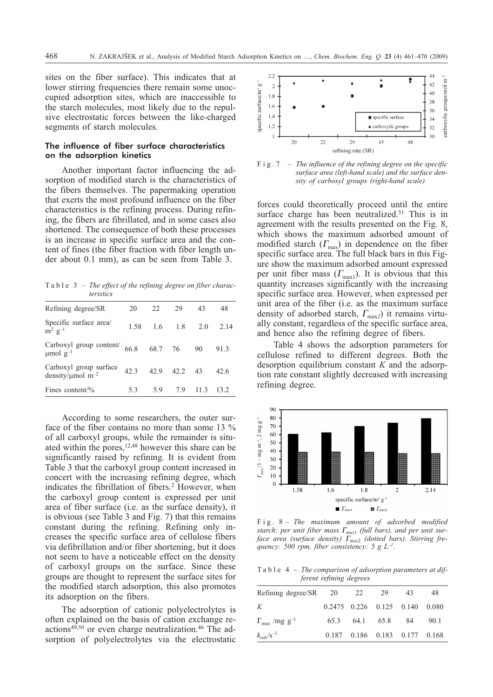sites on the fiber surface). This indicates that at lower stirring frequencies there remain some unoccupied adsorption sites, which are inaccessible to the starch molecules, most likely due to the repulsive electrostatic forces between the like-charged segments of starch molecules.

#### The influence of fiber surface characteristics on the adsorption kinetics

Another important factor influencing the adsorption of modified starch is the characteristics of the fibers themselves. The papermaking operation that exerts the most profound influence on the fiber characteristics is the refining process. During refining, the fibers are fibrillated, and in some cases also shortened. The consequence of both these processes is an increase in specific surface area and the content of fines (the fiber fraction with fiber length under about 0.1 mm), as can be seen from Table 3.

Table 3 – *The effect of the refining degree on fiber characteristics*

| Refining degree/SR                                           | 20   | 22  | 29                | 43   | 48    |
|--------------------------------------------------------------|------|-----|-------------------|------|-------|
| Specific surface area/<br>$\mathrm{m}^2$ g <sup>-1</sup>     | 1.58 |     | $1.6$ $1.8$ $2.0$ |      | 2.14  |
| Carboxyl group content/ $66.8$<br>µmol g <sup>-1</sup>       |      |     | 68.7 76 90        |      | 91.3  |
| Carboxyl group surface<br>density/ $\mu$ mol m <sup>-2</sup> | 42.3 |     | 42.9 42.2 43      |      | 42.6  |
| Fines content/ $\%$                                          | 5.3  | 5.9 | 7.9               | 11.3 | 13.2. |
|                                                              |      |     |                   |      |       |

According to some researchers, the outer surface of the fiber contains no more than some 13 % of all carboxyl groups, while the remainder is situated within the pores,  $12,48$  however this share can be significantly raised by refining. It is evident from Table 3 that the carboxyl group content increased in concert with the increasing refining degree, which indicates the fibrillation of fibers.<sup>2</sup> However, when the carboxyl group content is expressed per unit area of fiber surface (i.e. as the surface density), it is obvious (see Table 3 and Fig. 7) that this remains constant during the refining. Refining only increases the specific surface area of cellulose fibers via defibrillation and/or fiber shortening, but it does not seem to have a noticeable effect on the density of carboxyl groups on the surface. Since these groups are thought to represent the surface sites for the modified starch adsorption, this also promotes its adsorption on the fibers.

The adsorption of cationic polyelectrolytes is often explained on the basis of cation exchange reactions<sup>49,50</sup> or even charge neutralization.<sup>46</sup> The adsorption of polyelectrolytes via the electrostatic



Fig.7 – *The influence of the refining degree on the specific surface area (left-hand scale) and the surface density of carboxyl groups (right-hand scale)*

forces could theoretically proceed until the entire surface charge has been neutralized.<sup>51</sup> This is in agreement with the results presented on the Fig. 8, which shows the maximum adsorbed amount of modified starch  $(\Gamma_{\text{max}})$  in dependence on the fiber specific surface area. The full black bars in this Figure show the maximum adsorbed amount expressed per unit fiber mass  $(\Gamma_{\text{max1}})$ . It is obvious that this quantity increases significantly with the increasing specific surface area. However, when expressed per unit area of the fiber (i.e. as the maximum surface density of adsorbed starch,  $\Gamma_{\text{max}}$ <sup>2</sup>) it remains virtually constant, regardless of the specific surface area, and hence also the refining degree of fibers.

Table 4 shows the adsorption parameters for cellulose refined to different degrees. Both the desorption equilibrium constant *K* and the adsorption rate constant slightly decreased with increasing refining degree.



Fig. 8 – *The maximum amount of adsorbed modified starch: per unit fiber mass Gmax*<sup>1</sup> *(full bars), and per unit surface area (surface density) Gmax*<sup>2</sup> *(dotted bars). Stirring frequency: 500 rpm, fiber consistency: 5 g L–1.*

Table 4 – *The comparison of adsorption parameters at different refining degrees*

| Refining degree/SR 20 | 29 | 43 | 48                                                                                             |
|-----------------------|----|----|------------------------------------------------------------------------------------------------|
|                       |    |    |                                                                                                |
|                       |    |    | 90.1                                                                                           |
|                       |    |    |                                                                                                |
|                       |    | 22 | $0.2475$ $0.226$ $0.125$ $0.140$ $0.080$<br>65.3 64.1 65.8 84<br>0.187 0.186 0.183 0.177 0.168 |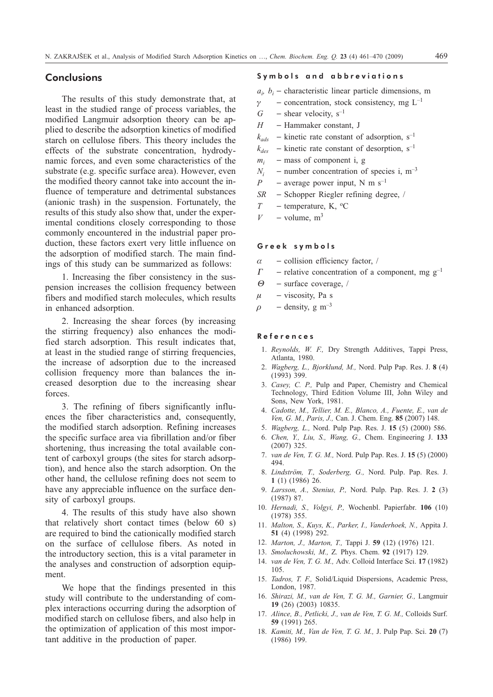# **Conclusions**

The results of this study demonstrate that, at least in the studied range of process variables, the modified Langmuir adsorption theory can be applied to describe the adsorption kinetics of modified starch on cellulose fibers. This theory includes the effects of the substrate concentration, hydrodynamic forces, and even some characteristics of the substrate (e.g. specific surface area). However, even the modified theory cannot take into account the influence of temperature and detrimental substances (anionic trash) in the suspension. Fortunately, the results of this study also show that, under the experimental conditions closely corresponding to those commonly encountered in the industrial paper production, these factors exert very little influence on the adsorption of modified starch. The main findings of this study can be summarized as follows:

1. Increasing the fiber consistency in the suspension increases the collision frequency between fibers and modified starch molecules, which results in enhanced adsorption.

2. Increasing the shear forces (by increasing the stirring frequency) also enhances the modified starch adsorption. This result indicates that, at least in the studied range of stirring frequencies, the increase of adsorption due to the increased collision frequency more than balances the increased desorption due to the increasing shear forces.

3. The refining of fibers significantly influences the fiber characteristics and, consequently, the modified starch adsorption. Refining increases the specific surface area via fibrillation and/or fiber shortening, thus increasing the total available content of carboxyl groups (the sites for starch adsorption), and hence also the starch adsorption. On the other hand, the cellulose refining does not seem to have any appreciable influence on the surface density of carboxyl groups.

4. The results of this study have also shown that relatively short contact times (below 60 s) are required to bind the cationically modified starch on the surface of cellulose fibers. As noted in the introductory section, this is a vital parameter in the analyses and construction of adsorption equipment.

We hope that the findings presented in this study will contribute to the understanding of complex interactions occurring during the adsorption of modified starch on cellulose fibers, and also help in the optimization of application of this most important additive in the production of paper.

#### Symbols and abbreviations

 $a_i$ ,  $b_i$  – characteristic linear particle dimensions, m

- $\gamma$  concentration, stock consistency, mg L<sup>-1</sup>
- $G$  shear velocity,  $s^{-1}$
- *H* Hammaker constant, J
- $k_{ads}$  kinetic rate constant of adsorption, s<sup>-1</sup>
- $k_{des}$  kinetic rate constant of desorption, s<sup>-1</sup>
- $m_i$  mass of component i, g
- $N_i$  number concentration of species i, m<sup>-3</sup><br>  $P$  average nower input N m s<sup>-1</sup>
- *-* average power input, N m  $s^{-1}$
- *SR* Schopper Riegler refining degree, /
- $T$  temperature, K, <sup>o</sup>C
- $V -$ volume, m<sup>3</sup>

#### Greek symbols

- $\alpha$ - collision efficiency factor, /
- $\Gamma$  relative concentration of a component, mg g<sup>-1</sup>
- $\Theta$  surface coverage, /
- $\mu$  viscosity, Pa s
- $\rho$  density, g m<sup>-3</sup>

#### References

- 1. *Reynolds, W. F.,* Dry Strength Additives, Tappi Press, Atlanta, 1980.
- 2. *Wagberg, L., Bjorklund, M.,* Nord. Pulp Pap. Res. J. **8** (4) (1993) 399.
- 3. *Casey, C. P.,* Pulp and Paper, Chemistry and Chemical Technology, Third Edition Volume III, John Wiley and Sons, New York, 1981.
- 4. *Cadotte, M., Tellier, M. E., Blanco, A., Fuente, E., van de Ven, G. M., Paris, J.,* Can. J. Chem. Eng. **85** (2007) 148.
- 5. *Wagberg, L.,* Nord. Pulp Pap. Res. J. **15** (5) (2000) 586.
- 6. *Chen, Y., Liu, S., Wang, G.,* Chem. Engineering J. **133** (2007) 325.
- 7. *van de Ven, T. G. M.,* Nord. Pulp Pap. Res. J. **15** (5) (2000) 494.
- 8. *Lindström, T., Soderberg, G.,* Nord. Pulp. Pap. Res. J. **1** (1) (1986) 26.
- 9. *Larsson, A., Stenius, P.,* Nord. Pulp. Pap. Res. J. **2** (3) (1987) 87.
- 10. *Hernadi, S., Volgyi, P.,* Wochenbl. Papierfabr. **106** (10) (1978) 355.
- 11. *Malton, S., Kuys, K., Parker, I., Vanderhoek, N.,* Appita J. **51** (4) (1998) 292.
- 12. *Marton, J., Marton, T.,* Tappi J. **59** (12) (1976) 121.
- 13. *Smoluchowski, M.,* Z*.* Phys. Chem. **92** (1917) 129.
- 14. *van de Ven, T. G. M.,* Adv. Colloid Interface Sci. **17** (1982) 105.
- 15. *Tadros, T. F.,* Solid/Liquid Dispersions, Academic Press, London, 1987.
- 16. *Shirazi, M., van de Ven, T. G. M., Garnier, G.,* Langmuir **19** (26) (2003) 10835.
- 17. *Alince, B., Petlicki, J., van de Ven, T. G. M.,* Colloids Surf. **59** (1991) 265.
- 18. *Kamiti, M., Van de Ven, T. G. M.,* J. Pulp Pap. Sci. **20** (7) (1986) 199.